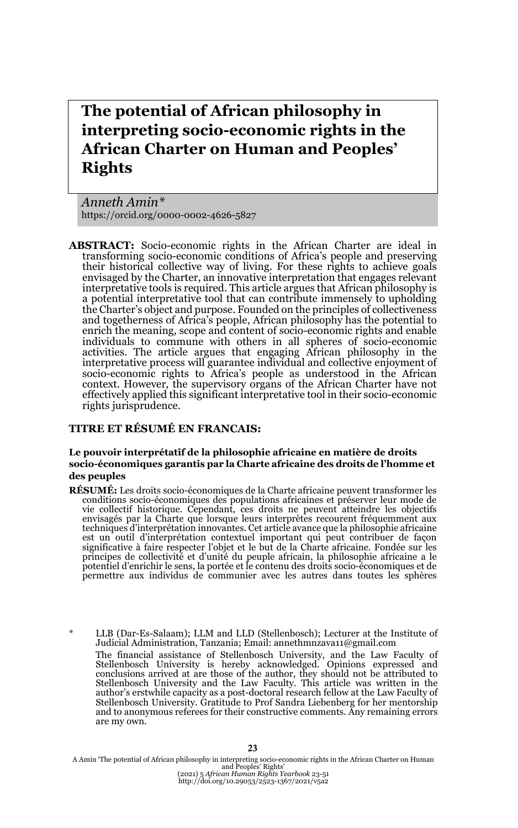# **The potential of African philosophy in interpreting socio-economic rights in the African Charter on Human and Peoples' Rights**

*Anneth Amin\** https://orcid.org/0000-0002-4626-5827

**ABSTRACT:** Socio-economic rights in the African Charter are ideal in transforming socio-economic conditions of Africa's people and preserving their historical collective way of living. For these rights to achieve goals envisaged by the Charter, an innovative interpretation that engages relevant interpretative tools is required. This article argues that African philosophy is a potential interpretative tool that can contribute immensely to upholding the Charter's object and purpose. Founded on the principles of collectiveness and togetherness of Africa's people, African philosophy has the potential to enrich the meaning, scope and content of socio-economic rights and enable individuals to commune with others in all spheres of socio-economic activities. The article argues that engaging African philosophy in the interpretative process will guarantee individual and collective enjoyment of socio-economic rights to Africa's people as understood in the African context. However, the supervisory organs of the African Charter have not effectively applied this significant interpretative tool in their socio-economic rights jurisprudence.

#### **TITRE ET RÉSUMÉ EN FRANCAIS:**

#### **Le pouvoir interprétatif de la philosophie africaine en matière de droits socio-économiques garantis par la Charte africaine des droits de l'homme et des peuples**

- **RÉSUMÉ:** Les droits socio-économiques de la Charte africaine peuvent transformer les conditions socio-économiques des populations africaines et préserver leur mode de vie collectif historique. Cependant, ces droits ne peuvent atteindre les objectifs envisagés par la Charte que lorsque leurs interprètes recourent fréquemment aux<br>techniques d'interprétation innovantes. Cet article avance que la philosophie africaine est un outil d'interprétation contextuel important qui peut contribuer de façon significative à faire respecter l'objet et le but de la Charte africaine. Fondée sur les<br>principes de collectivité et d'unité du peuple africain, la philosophie africaine a le<br>potentiel d'enrichir le sens, la portée et le permettre aux individus de communier avec les autres dans toutes les sphères
- LLB (Dar-Es-Salaam); LLM and LLD (Stellenbosch); Lecturer at the Institute of Judicial Administration, Tanzania; Email: annethmnzava11@gmail.com The financial assistance of Stellenbosch University, and the Law Faculty of Stellenbosch University is hereby acknowledged. Opinions expressed and conclusions arrived at are those of the author, they should not be attributed to Stellenbosch University and the Law Faculty. This article was written in the author's erstwhile capacity as a post-doctoral research fellow at the Law Faculty of Stellenbosch University. Gratitude to Prof Sandra Liebenberg for her mentorship and to anonymous referees for their constructive comments. Any remaining errors are my own.

A Amin "The potential of African philosophy in interpreting socio-economic rights in the African Charter on Human<br>and Peoples' Rights'<br>(2021) 5 African Human Rights Yearbook 23-51<br>http://doi.org/10.29053/2523-1367/2021/v5a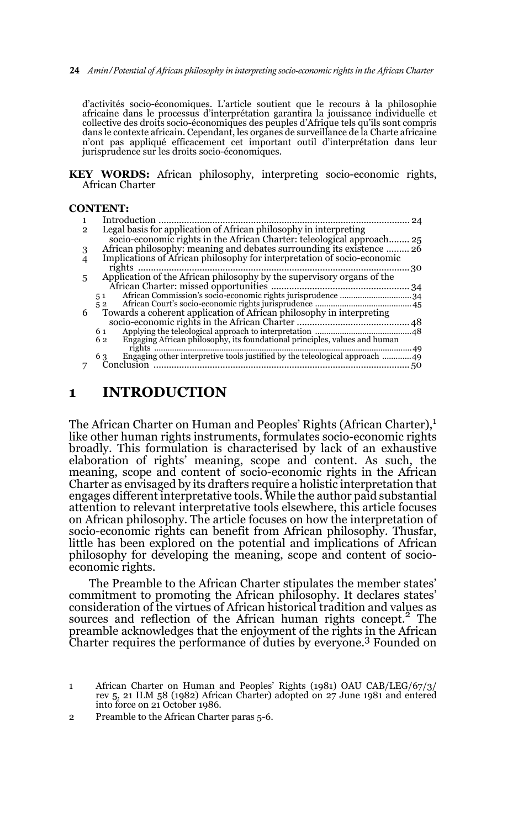**24** *Amin/Potential of African philosophy in interpreting socio-economic rights in the African Charter* 

d'activités socio-économiques. L'article soutient que le recours à la philosophie africaine dans le processus d'interprétation garantira la jouissance individuelle et collective des droits socio-économiques des peuples d'Afrique tels qu'ils sont compris dans le contexte africain. Cependant, les organes de surveillance de la Charte africaine n'ont pas appliqué efficacement cet important outil d'interprétation dans leur jurisprudence sur les droits socio-économiques.

**KEY WORDS:** African philosophy, interpreting socio-economic rights, African Charter

#### **CONTENT:**

|   | Introduction                                                                     |     |
|---|----------------------------------------------------------------------------------|-----|
| 2 | Legal basis for application of African philosophy in interpreting                |     |
|   | socio-economic rights in the African Charter: teleological approach 25           |     |
|   | African philosophy: meaning and debates surrounding its existence  26            |     |
|   | Implications of African philosophy for interpretation of socio-economic          |     |
|   | rights                                                                           | .30 |
| 5 | Application of the African philosophy by the supervisory organs of the           |     |
|   |                                                                                  |     |
|   | 51                                                                               |     |
|   | 52                                                                               |     |
| 6 | Towards a coherent application of African philosophy in interpreting             |     |
|   |                                                                                  | 48  |
|   | 61                                                                               |     |
|   | Engaging African philosophy, its foundational principles, values and human<br>62 |     |
|   | rights                                                                           | 49  |
|   | 63                                                                               |     |
|   |                                                                                  | 50  |

### **1 INTRODUCTION**

The African Charter on Human and Peoples' Rights (African Charter),<sup>1</sup> like other human rights instruments, formulates socio-economic rights broadly. This formulation is characterised by lack of an exhaustive elaboration of rights' meaning, scope and content. As such, the meaning, scope and content of socio-economic rights in the African Charter as envisaged by its drafters require a holistic interpretation that engages different interpretative tools. While the author paid substantial attention to relevant interpretative tools elsewhere, this article focuses on African philosophy. The article focuses on how the interpretation of socio-economic rights can benefit from African philosophy. Thusfar, little has been explored on the potential and implications of African philosophy for developing the meaning, scope and content of socioeconomic rights.

The Preamble to the African Charter stipulates the member states' commitment to promoting the African philosophy. It declares states' consideration of the virtues of African historical tradition and values as sources and reflection of the African human rights concept.<sup>2</sup> The preamble acknowledges that the enjoyment of the rights in the African Charter requires the performance of duties by everyone.<sup>3</sup> Founded on

2 Preamble to the African Charter paras 5-6.

<sup>1</sup> African Charter on Human and Peoples' Rights (1981) OAU CAB/LEG/67/3/ rev 5, 21 ILM 58 (1982) African Charter) adopted on 27 June 1981 and entered into force on 21 October 1986.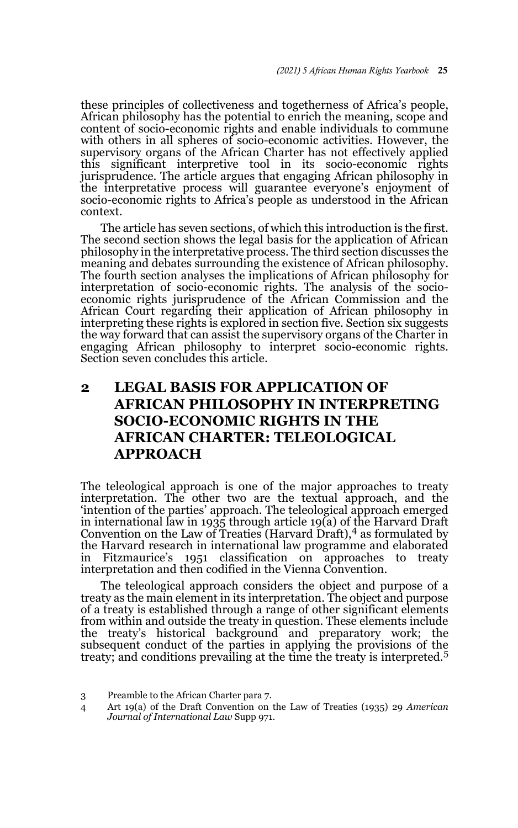these principles of collectiveness and togetherness of Africa's people, African philosophy has the potential to enrich the meaning, scope and content of socio-economic rights and enable individuals to commune with others in all spheres of socio-economic activities. However, the supervisory organs of the African Charter has not effectively applied this significant interpretive tool in its socio-economic rights jurisprudence. The article argues that engaging African philosophy in the interpretative process will guarantee everyone's enjoyment of socio-economic rights to Africa's people as understood in the African context.

The article has seven sections, of which this introduction is the first. The second section shows the legal basis for the application of African philosophy in the interpretative process. The third section discusses the meaning and debates surrounding the existence of African philosophy. The fourth section analyses the implications of African philosophy for interpretation of socio-economic rights. The analysis of the socioeconomic rights jurisprudence of the African Commission and the African Court regarding their application of African philosophy in interpreting these rights is explored in section five. Section six suggests the way forward that can assist the supervisory organs of the Charter in engaging African philosophy to interpret socio-economic rights. Section seven concludes this article.

## **2 LEGAL BASIS FOR APPLICATION OF AFRICAN PHILOSOPHY IN INTERPRETING SOCIO-ECONOMIC RIGHTS IN THE AFRICAN CHARTER: TELEOLOGICAL APPROACH**

The teleological approach is one of the major approaches to treaty interpretation. The other two are the textual approach, and the 'intention of the parties' approach. The teleological approach emerged in international law in 1935 through article 19(a) of the Harvard Draft<br>Convention on the Law of Treaties (Harvard Draft),<sup>4</sup> as formulated by the Harvard research in international law programme and elaborated in Fitzmaurice's 1951 classification on approaches to treaty interpretation and then codified in the Vienna Convention.

The teleological approach considers the object and purpose of a treaty as the main element in its interpretation. The object and purpose of a treaty is established through a range of other significant elements from within and outside the treaty in question. These elements include the treaty's historical background and preparatory work; the subsequent conduct of the parties in applying the provisions of the treaty; and conditions prevailing at the time the treaty is interpreted.<sup>5</sup>

<sup>3</sup> Preamble to the African Charter para 7.

<sup>4</sup> Art 19(a) of the Draft Convention on the Law of Treaties (1935) 29 *American Journal of International Law* Supp 971.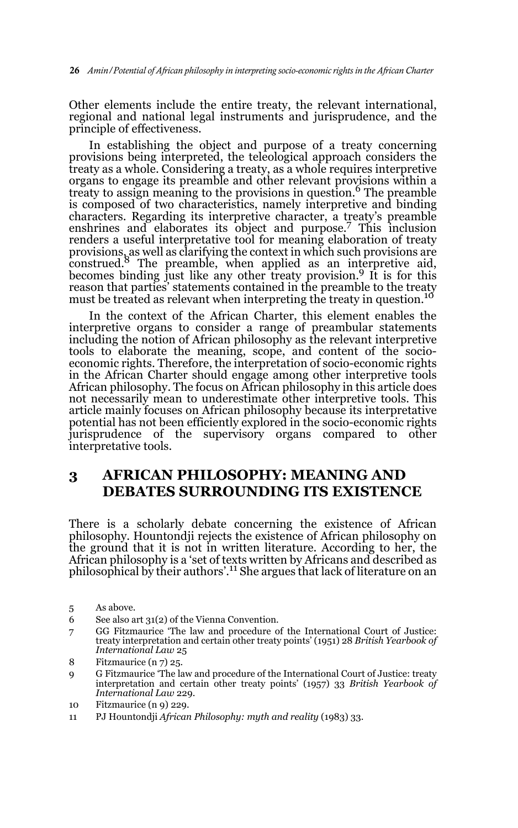Other elements include the entire treaty, the relevant international, regional and national legal instruments and jurisprudence, and the principle of effectiveness.

In establishing the object and purpose of a treaty concerning provisions being interpreted, the teleological approach considers the treaty as a whole. Considering a treaty, as a whole requires interpretive organs to engage its preamble and other relevant provisions within a treaty to assign meaning to the provisions in question.<sup>6</sup> The preamble is composed of two characteristics, namely interpretive and binding characters. Regarding its interpretive character, a treaty's preamble enshrines and elaborates its object and purpose.7 This inclusion renders a useful interpretative tool for meaning elaboration of treaty provisions, as well as clarifying the context in which such provisions are<br>construed.<sup>8</sup> The preamble, when applied as an interpretive aid, becomes binding just like any other treaty provision.<sup>9</sup> It is for this reason that parties' statements contained in the preamble to the treaty must be treated as relevant when interpreting the treaty in question.<sup>10</sup>

In the context of the African Charter, this element enables the interpretive organs to consider a range of preambular statements including the notion of African philosophy as the relevant interpretive tools to elaborate the meaning, scope, and content of the socioeconomic rights. Therefore, the interpretation of socio-economic rights in the African Charter should engage among other interpretive tools African philosophy. The focus on African philosophy in this article does not necessarily mean to underestimate other interpretive tools. This article mainly focuses on African philosophy because its interpretative potential has not been efficiently explored in the socio-economic rights jurisprudence of the supervisory organs compared to other interpretative tools.

### **3 AFRICAN PHILOSOPHY: MEANING AND DEBATES SURROUNDING ITS EXISTENCE**

There is a scholarly debate concerning the existence of African philosophy. Hountondji rejects the existence of African philosophy on the ground that it is not in written literature. According to her, the African philosophy is a 'set of texts written by Africans and described as<br>philosophical by their authors'.<sup>11</sup> She argues that lack of literature on an

- 6 See also art 31(2) of the Vienna Convention.
- 7 GG Fitzmaurice 'The law and procedure of the International Court of Justice: treaty interpretation and certain other treaty points' (1951) 28 *British Yearbook of International Law* 25
- 8 Fitzmaurice (n 7) 25.
- 9 G Fitzmaurice 'The law and procedure of the International Court of Justice: treaty interpretation and certain other treaty points' (1957) 33 *British Yearbook of International Law* 229.
- 10 Fitzmaurice (n 9) 229.
- 11 PJ Hountondji *African Philosophy: myth and reality* (1983) 33.

<sup>5</sup> As above.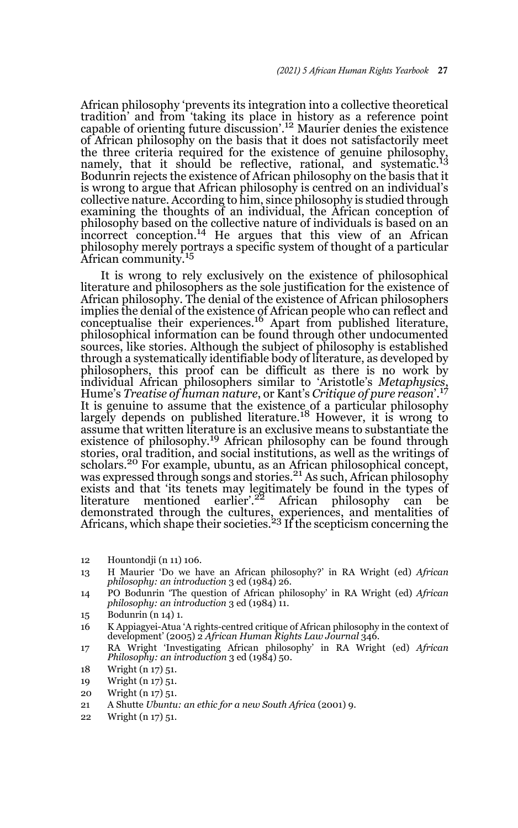African philosophy 'prevents its integration into a collective theoretical tradition' and from 'taking its place in history as a reference point capable of orienting future discussion'.<sup>12</sup> Maurier denies the existence of African philosophy on the basis that it does not satisfactorily meet the three criteria required for the existence of genuine philosophy, namely, that it should be reflective, rational, and systematic.<sup>13</sup> Bodunrin rejects the existence of African philosophy on the basis that it is wrong to argue that African philosophy is centred on an individual's collective nature. According to him, since philosophy is studied through examining the thoughts of an individual, the African conception of philosophy based on the collective nature of individuals is based on an incorrect conception.<sup>14</sup> He argues that this view of an African philosophy merely portrays a specific system of thought of a particular African community.<sup>15</sup>

It is wrong to rely exclusively on the existence of philosophical literature and philosophers as the sole justification for the existence of African philosophy. The denial of the existence of African philosophers implies the denial of the existence of African people who can reflect and conceptualise their experiences.16 Apart from published literature, philosophical information can be found through other undocumented sources, like stories. Although the subject of philosophy is established through a systematically identifiable body of literature, as developed by philosophers, this proof can be difficult as there is no work by individual African philosophers similar to 'Aristotle's *Metaphysics*, Hume's *Treatise of human nature*, or Kant's *Critique of pure reason*'.<sup>17</sup> It is genuine to assume that the existence of a particular philosophy largely depends on published literature.18 However, it is wrong to assume that written literature is an exclusive means to substantiate the existence of philosophy.<sup>19</sup> African philosophy can be found through stories, oral tradition, and social institutions, as well as the writings of scholars.<sup>20</sup> For example, ubuntu, as an African philosophical concept, was expressed through songs and stories.<sup>21</sup> As such, African philosophy exists and that 'its tenets may legitimately be found in the types of<br>literature mentioned earlier'.<sup>22</sup> African philosophy can be demonstrated through the cultures, experiences, and mentalities of<br>Africans, which shape their societies.<sup>23</sup> If the scepticism concerning the

- 12 Hountondji (n 11) 106.
- 13 H Maurier 'Do we have an African philosophy?' in RA Wright (ed) *African philosophy: an introduction* 3 ed (1984) 26.
- 14 PO Bodunrin 'The question of African philosophy' in RA Wright (ed) *African philosophy: an introduction* 3 ed (1984) 11.
- 15 Bodunrin (n 14) 1.

16 K Appiagyei-Atua 'A rights-centred critique of African philosophy in the context of development' (2005) 2 *African Human Rights Law Journal* 346.

- 17 RA Wright 'Investigating African philosophy' in RA Wright (ed) *African Philosophy: an introduction* 3 ed (1984) 50.
- 18 Wright (n 17) 51.
- 19 Wright (n 17) 51.
- 20 Wright (n 17) 51.
- 21 A Shutte *Ubuntu: an ethic for a new South Africa* (2001) 9.
- 22 Wright (n 17) 51.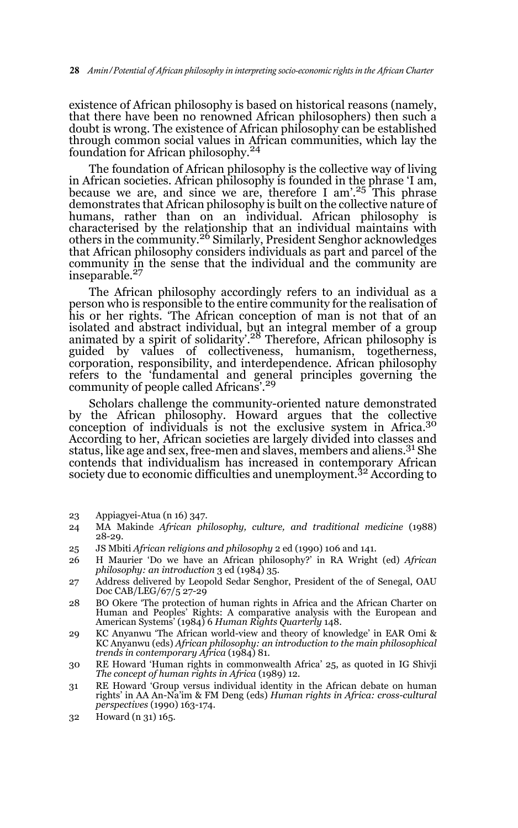existence of African philosophy is based on historical reasons (namely, that there have been no renowned African philosophers) then such a doubt is wrong. The existence of African philosophy can be established through common social values in African communities, which lay the foundation for African philosophy.<sup>24</sup>

The foundation of African philosophy is the collective way of living in African societies. African philosophy is founded in the phrase 'I am, because we are, and since we are, therefore I am'.<sup>25</sup> This phrase demonstrates that African philosophy is built on the collective nature of humans, rather than on an individual. African philosophy is characterised by the relationship that an individual maintains with others in the community.26 Similarly, President Senghor acknowledges that African philosophy considers individuals as part and parcel of the community in the sense that the individual and the community are inseparable.<sup>27</sup>

The African philosophy accordingly refers to an individual as a person who is responsible to the entire community for the realisation of his or her rights. 'The African conception of man is not that of an isolated and abstract individual, but an integral member of a group<br>animated by a spirit of solidarity'.<sup>28</sup> Therefore, African philosophy is guided by values of collectiveness, humanism, togetherness, corporation, responsibility, and interdependence. African philosophy refers to the 'fundamental and general principles governing the community of people called Africans'.<sup>29</sup>

Scholars challenge the community-oriented nature demonstrated by the African philosophy. Howard argues that the collective conception of individuals is not the exclusive system in Africa.<sup>30</sup> According to her, African societies are largely divided into classes and status, like age and sex, free-men and slaves, members and aliens.<sup>31</sup> She contends that individualism has increased in contemporary African society due to economic difficulties and unemployment.<sup>32</sup> According to

- 23 Appiagyei-Atua (n 16) 347.
- 24 MA Makinde *African philosophy, culture, and traditional medicine* (1988) 28-29.
- 25 JS Mbiti *African religions and philosophy* 2 ed (1990) 106 and 141.
- 26 H Maurier 'Do we have an African philosophy?' in RA Wright (ed) *African philosophy: an introduction* 3 ed (1984) 35.
- 27 Address delivered by Leopold Sedar Senghor, President of the of Senegal, OAU Doc CAB/LEG/67/5 27-29
- 28 BO Okere 'The protection of human rights in Africa and the African Charter on Human and Peoples' Rights: A comparative analysis with the European and American Systems' (1984) 6 *Human Rights Quarterly* 148.
- 29 KC Anyanwu 'The African world-view and theory of knowledge' in EAR Omi & KC Anyanwu (eds) *African philosophy: an introduction to the main philosophical trends in contemporary Africa* (1984) 81.
- 30 RE Howard 'Human rights in commonwealth Africa' 25, as quoted in IG Shivji *The concept of human rights in Africa* (1989) 12.
- 31 RE Howard 'Group versus individual identity in the African debate on human rights' in AA An-Na'im & FM Deng (eds) *Human rights in Africa: cross-cultural perspectives* (1990) 163-174.
- 32 Howard (n 31) 165.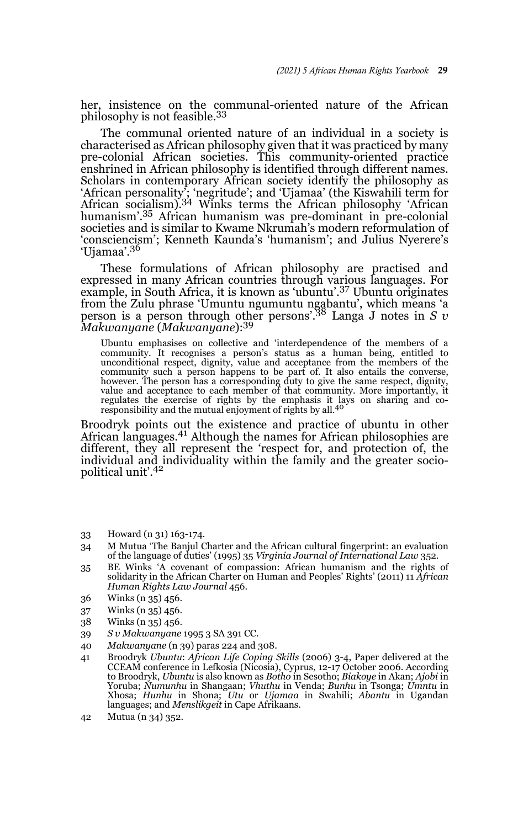her, insistence on the communal-oriented nature of the African philosophy is not feasible.<sup>33</sup>

The communal oriented nature of an individual in a society is characterised as African philosophy given that it was practiced by many pre-colonial African societies. This community-oriented practice enshrined in African philosophy is identified through different names. Scholars in contemporary African society identify the philosophy as 'African personality'; 'negritude'; and 'Ujamaa' (the Kiswahili term for African socialism).34 Winks terms the African philosophy 'African humanism'.35 African humanism was pre-dominant in pre-colonial societies and is similar to Kwame Nkrumah's modern reformulation of 'consciencism'; Kenneth Kaunda's 'humanism'; and Julius Nyerere's 'Ujamaa'.<sup>36</sup>

These formulations of African philosophy are practised and expressed in many African countries through various languages. For example, in South Africa, it is known as 'ubuntu'.37 Ubuntu originates from the Zulu phrase 'Umuntu ngumuntu ngabantu', which means 'a person is a person through other persons'.38 Langa J notes in *S v Makwanyane* (*Makwanyane*):<sup>39</sup>

Ubuntu emphasises on collective and 'interdependence of the members of a community. It recognises a person's status as a human being, entitled to unconditional respect, dignity, value and acceptance from the members of the community such a person happens to be part of. It also entails the converse, however. The person has a corresponding duty to give the same respect, dignity, value and acceptance to each member of that community. More importantly, it regulates the exercise of rights by the emphasis it lays on sharing and coresponsibility and the mutual enjoyment of rights by all.<sup>40</sup>

Broodryk points out the existence and practice of ubuntu in other African languages.<sup>41</sup> Although the names for African philosophies are different, they all represent the 'respect for, and protection of, the individual and individuality within the family and the greater sociopolitical unit'.42

- 33 Howard (n 31) 163-174.
- 34 M Mutua 'The Banjul Charter and the African cultural fingerprint: an evaluation of the language of duties' (1995) 35 *Virginia Journal of International Law* 352.
- 35 BE Winks 'A covenant of compassion: African humanism and the rights of solidarity in the African Charter on Human and Peoples' Rights' (2011) 11 *African Human Rights Law Journal* 456.
- 36 Winks (n 35) 456.
- 37 Winks (n 35) 456.
- 38 Winks (n 35) 456.
- 39 *S v Makwanyane* 1995 3 SA 391 CC.
- 40 *Makwanyane* (n 39) paras 224 and 308.
- 41 Broodryk *Ubuntu*: *African Life Coping Skills* (2006) 3-4, Paper delivered at the CCEAM conference in Lefkosia (Nicosia), Cyprus, 12-17 October 2006. According to Broodryk, *Ubuntu* is also known as *Botho* in Sesotho; *Biakoye* in Akan; *Ajobi* in Yoruba; *Numunhu* in Shangaan; *Vhuthu* in Venda; *Bunhu* in Tsonga; *Umntu* in Xhosa; *Hunhu* in Shona; *Utu* or *Ujamaa* in Swahili; *Abantu* in Ugandan languages; and *Menslikgeit* in Cape Afrikaans.
- 42 Mutua (n 34) 352.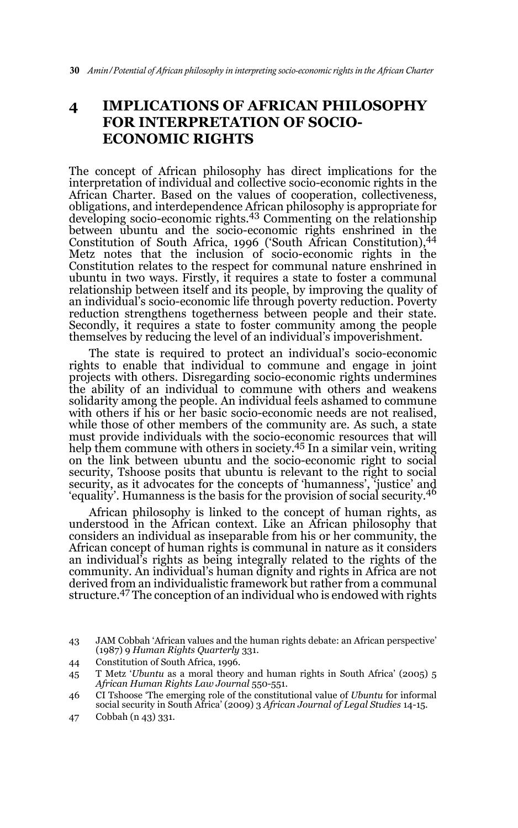## **4 IMPLICATIONS OF AFRICAN PHILOSOPHY FOR INTERPRETATION OF SOCIO-ECONOMIC RIGHTS**

The concept of African philosophy has direct implications for the interpretation of individual and collective socio-economic rights in the African Charter. Based on the values of cooperation, collectiveness, obligations, and interdependence African philosophy is appropriate for developing socio-economic rights.43 Commenting on the relationship between ubuntu and the socio-economic rights enshrined in the Constitution of South Africa, 1996 ('South African Constitution),44 Metz notes that the inclusion of socio-economic rights in the Constitution relates to the respect for communal nature enshrined in ubuntu in two ways. Firstly, it requires a state to foster a communal relationship between itself and its people, by improving the quality of an individual's socio-economic life through poverty reduction. Poverty reduction strengthens togetherness between people and their state. Secondly, it requires a state to foster community among the people themselves by reducing the level of an individual's impoverishment.

The state is required to protect an individual's socio-economic rights to enable that individual to commune and engage in joint projects with others. Disregarding socio-economic rights undermines the ability of an individual to commune with others and weakens solidarity among the people. An individual feels ashamed to commune with others if his or her basic socio-economic needs are not realised, while those of other members of the community are. As such, a state must provide individuals with the socio-economic resources that will help them commune with others in society.<sup>45</sup> In a similar vein, writing on the link between ubuntu and the socio-economic right to social security, Tshoose posits that ubuntu is relevant to the right to social security, as it advocates for the concepts of 'humanness', 'justice' and 'equality'. Humanness is the basis for the provision of social security.46

African philosophy is linked to the concept of human rights, as understood in the African context. Like an African philosophy that considers an individual as inseparable from his or her community, the African concept of human rights is communal in nature as it considers an individual's rights as being integrally related to the rights of the community. An individual's human dignity and rights in Africa are not derived from an individualistic framework but rather from a communal structure.47 The conception of an individual who is endowed with rights

44 Constitution of South Africa, 1996.

- 46 CI Tshoose 'The emerging role of the constitutional value of *Ubuntu* for informal social security in South Africa' (2009) 3 *African Journal of Legal Studies* 14-15.
- 47 Cobbah (n 43) 331.

<sup>43</sup> JAM Cobbah 'African values and the human rights debate: an African perspective' (1987) 9 *Human Rights Quarterly* 331.

<sup>45</sup> T Metz '*Ubuntu* as a moral theory and human rights in South Africa' (2005) 5 *African Human Rights Law Journal* 550-551.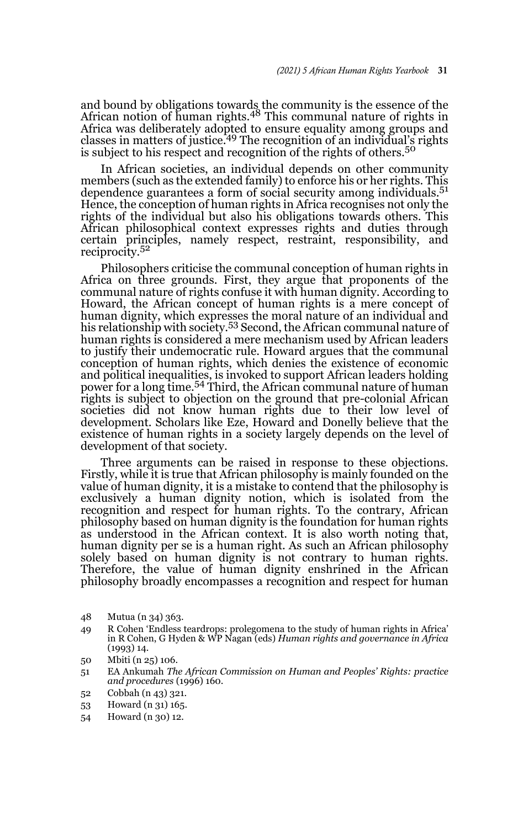and bound by obligations towards the community is the essence of the<br>African notion of human rights.<sup>48</sup> This communal nature of rights in Africa was deliberately adopted to ensure equality among groups and classes in matters of justice.<sup>49</sup> The recognition of an individual's rights is subject to his respect and recognition of the rights of others.<sup>50</sup>

In African societies, an individual depends on other community members (such as the extended family) to enforce his or her rights. This dependence guarantees a form of social security among individuals.<sup>51</sup> Hence, the conception of human rights in Africa recognises not only the rights of the individual but also his obligations towards others. This African philosophical context expresses rights and duties through certain principles, namely respect, restraint, responsibility, and reciprocity.<sup>52</sup>

Philosophers criticise the communal conception of human rights in Africa on three grounds. First, they argue that proponents of the communal nature of rights confuse it with human dignity. According to Howard, the African concept of human rights is a mere concept of human dignity, which expresses the moral nature of an individual and his relationship with society.<sup>53</sup> Second, the African communal nature of human rights is considered a mere mechanism used by African leaders to justify their undemocratic rule. Howard argues that the communal conception of human rights, which denies the existence of economic and political inequalities, is invoked to support African leaders holding power for a long time.54 Third, the African communal nature of human rights is subject to objection on the ground that pre-colonial African societies did not know human rights due to their low level of development. Scholars like Eze, Howard and Donelly believe that the existence of human rights in a society largely depends on the level of development of that society.

Three arguments can be raised in response to these objections. Firstly, while it is true that African philosophy is mainly founded on the value of human dignity, it is a mistake to contend that the philosophy is exclusively a human dignity notion, which is isolated from the recognition and respect for human rights. To the contrary, African philosophy based on human dignity is the foundation for human rights as understood in the African context. It is also worth noting that, human dignity per se is a human right. As such an African philosophy solely based on human dignity is not contrary to human rights. Therefore, the value of human dignity enshrined in the African philosophy broadly encompasses a recognition and respect for human

- 48 Mutua (n 34) 363.
- 49 R Cohen 'Endless teardrops: prolegomena to the study of human rights in Africa' in R Cohen, G Hyden & WP Nagan (eds) *Human rights and governance in Africa* (1993) 14.
- 50 Mbiti (n 25) 106.
- 51 EA Ankumah *The African Commission on Human and Peoples' Rights: practice and procedures* (1996) 160.
- 52 Cobbah (n 43) 321.
- 53 Howard (n 31) 165.
- 54 Howard (n 30) 12.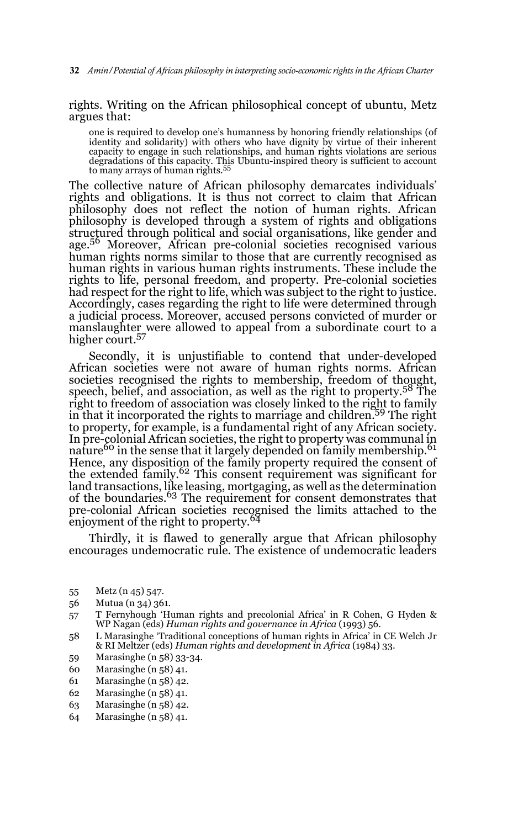rights. Writing on the African philosophical concept of ubuntu, Metz argues that:

one is required to develop one's humanness by honoring friendly relationships (of identity and solidarity) with others who have dignity by virtue of their inherent capacity to engage in such relationships, and human rights violations are serious degradations of this capacity. This Ubuntu-inspired theory is sufficient to account<br>to many arrays of human rights.<sup>55</sup>

The collective nature of African philosophy demarcates individuals' rights and obligations. It is thus not correct to claim that African philosophy does not reflect the notion of human rights. African philosophy is developed through a system of rights and obligations structured through political and social organisations, like gender and age.56 Moreover, African pre-colonial societies recognised various human rights norms similar to those that are currently recognised as human rights in various human rights instruments. These include the rights to life, personal freedom, and property. Pre-colonial societies had respect for the right to life, which was subject to the right to justice. Accordingly, cases regarding the right to life were determined through a judicial process. Moreover, accused persons convicted of murder or manslaughter were allowed to appeal from a subordinate court to a higher court.<sup>57</sup>

Secondly, it is unjustifiable to contend that under-developed African societies were not aware of human rights norms. African societies recognised the rights to membership, freedom of thought, speech, belief, and association, as well as the right to property.<sup>58</sup> The right to freedom of association was closely linked to the right to family in that it incorporated the rights to marriage and children.59 The right to property, for example, is a fundamental right of any African society. In pre-colonial African societies, the right to property was communal in nature<sup>60</sup> in the sense that it largely depended on family membership.<sup>61</sup> Hence, any disposition of the family property required the consent of<br>the extended family.<sup>62</sup> This consent requirement was significant for land transactions, like leasing, mortgaging, as well as the determination of the boundaries.<sup>63</sup> The requirement for consent demonstrates that pre-colonial African societies recognised the limits attached to the enjoyment of the right to property.<sup>64</sup>

Thirdly, it is flawed to generally argue that African philosophy encourages undemocratic rule. The existence of undemocratic leaders

- 56 Mutua (n 34) 361.
- 57 T Fernyhough 'Human rights and precolonial Africa' in R Cohen, G Hyden & WP Nagan (eds) *Human rights and governance in Africa* (1993) 56.
- 58 L Marasinghe 'Traditional conceptions of human rights in Africa' in CE Welch Jr & RI Meltzer (eds) *Human rights and development in Africa* (1984) 33.
- 59 Marasinghe (n 58) 33-34.
- 60 Marasinghe (n 58) 41.
- 61 Marasinghe (n 58) 42.
- 62 Marasinghe (n 58) 41.
- 63 Marasinghe (n 58) 42.
- 64 Marasinghe (n 58) 41.

<sup>55</sup> Metz (n 45) 547.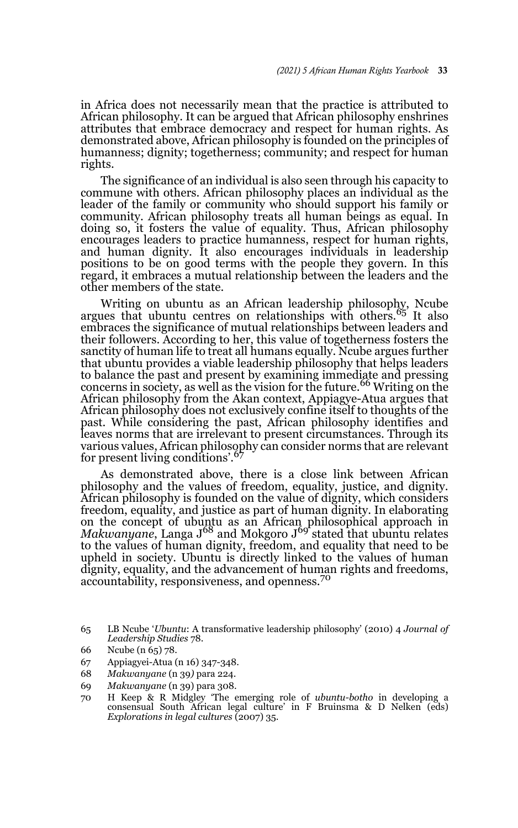in Africa does not necessarily mean that the practice is attributed to African philosophy. It can be argued that African philosophy enshrines attributes that embrace democracy and respect for human rights. As demonstrated above, African philosophy is founded on the principles of humanness; dignity; togetherness; community; and respect for human rights.

The significance of an individual is also seen through his capacity to commune with others. African philosophy places an individual as the leader of the family or community who should support his family or community. African philosophy treats all human beings as equal. In doing so, it fosters the value of equality. Thus, African philosophy encourages leaders to practice humanness, respect for human rights, and human dignity. It also encourages individuals in leadership positions to be on good terms with the people they govern. In this regard, it embraces a mutual relationship between the leaders and the other members of the state.

Writing on ubuntu as an African leadership philosophy, Ncube argues that ubuntu centres on relationships with others.<sup>65</sup> It also embraces the significance of mutual relationships between leaders and their followers. According to her, this value of togetherness fosters the sanctity of human life to treat all humans equally. Ncube argues further that ubuntu provides a viable leadership philosophy that helps leaders to balance the past and present by examining immediate and pressing concerns in society, as well as the vision for the future.<sup>66</sup> Writing on the African philosophy from the Akan context, Appiagye-Atua argues that African philosophy does not exclusively confine itself to thoughts of the past. While considering the past, African philosophy identifies and leaves norms that are irrelevant to present circumstances. Through its various values, African philosophy can consider norms that are relevant<br>for present living conditions'.<sup>67</sup>

As demonstrated above, there is a close link between African philosophy and the values of freedom, equality, justice, and dignity. African philosophy is founded on the value of dignity, which considers freedom, equality, and justice as part of human dignity. In elaborating on the concept of ubuntu as an African philosophical approach in *Makwanyane*, Langa J<sup>68</sup> and Mokgoro J<sup>69</sup> stated that ubuntu relates to the values of human dignity, freedom, and equality that need to be upheld in society. Ubuntu is directly linked to the values of human dignity, equality, and the advancement of human rights and freedoms, accountability, responsiveness, and openness.<sup>70</sup>

68 *Makwanyane* (n 39*)* para 224.

<sup>65</sup> LB Ncube '*Ubuntu*: A transformative leadership philosophy' (2010) 4 *Journal of Leadership Studies* 78.

<sup>66</sup> Ncube (n 65) 78.

<sup>67</sup> Appiagyei-Atua (n 16) 347-348.

<sup>69</sup> *Makwanyane* (n 39) para 308.

<sup>70</sup> H Keep & R Midgley 'The emerging role of *ubuntu-botho* in developing a consensual South African legal culture' in F Bruinsma & D Nelken (eds) *Explorations in legal cultures* (2007) 35.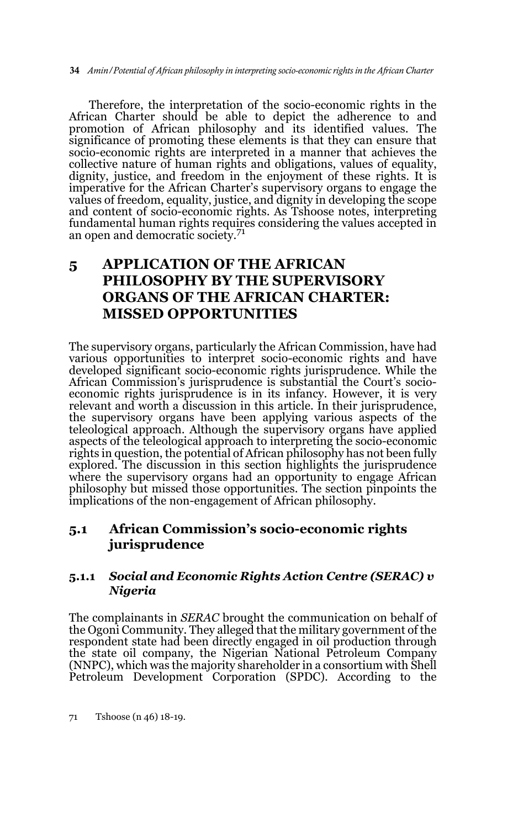Therefore, the interpretation of the socio-economic rights in the African Charter should be able to depict the adherence to and promotion of African philosophy and its identified values. The significance of promoting these elements is that they can ensure that socio-economic rights are interpreted in a manner that achieves the collective nature of human rights and obligations, values of equality, dignity, justice, and freedom in the enjoyment of these rights. It is imperative for the African Charter's supervisory organs to engage the values of freedom, equality, justice, and dignity in developing the scope and content of socio-economic rights. As Tshoose notes, interpreting fundamental human rights requires considering the values accepted in an open and democratic society.<sup>71</sup>

## **5 APPLICATION OF THE AFRICAN PHILOSOPHY BY THE SUPERVISORY ORGANS OF THE AFRICAN CHARTER: MISSED OPPORTUNITIES**

The supervisory organs, particularly the African Commission, have had various opportunities to interpret socio-economic rights and have developed significant socio-economic rights jurisprudence. While the African Commission's jurisprudence is substantial the Court's socioeconomic rights jurisprudence is in its infancy. However, it is very relevant and worth a discussion in this article. In their jurisprudence, the supervisory organs have been applying various aspects of the teleological approach. Although the supervisory organs have applied aspects of the teleological approach to interpreting the socio-economic rights in question, the potential of African philosophy has not been fully explored. The discussion in this section highlights the jurisprudence where the supervisory organs had an opportunity to engage African philosophy but missed those opportunities. The section pinpoints the implications of the non-engagement of African philosophy.

### **5.1 African Commission's socio-economic rights jurisprudence**

### **5.1.1** *Social and Economic Rights Action Centre (SERAC) v Nigeria*

The complainants in *SERAC* brought the communication on behalf of the Ogoni Community. They alleged that the military government of the respondent state had been directly engaged in oil production through the state oil company, the Nigerian National Petroleum Company (NNPC), which was the majority shareholder in a consortium with Shell Petroleum Development Corporation (SPDC). According to the

71 Tshoose (n 46) 18-19.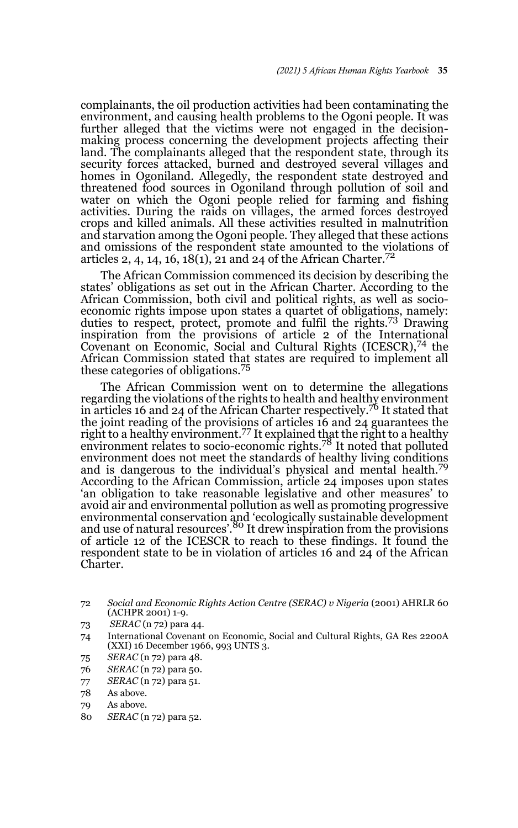complainants, the oil production activities had been contaminating the environment, and causing health problems to the Ogoni people. It was further alleged that the victims were not engaged in the decisionmaking process concerning the development projects affecting their land. The complainants alleged that the respondent state, through its security forces attacked, burned and destroyed several villages and homes in Ogoniland. Allegedly, the respondent state destroyed and threatened food sources in Ogoniland through pollution of soil and water on which the Ogoni people relied for farming and fishing activities. During the raids on villages, the armed forces destroyed crops and killed animals. All these activities resulted in malnutrition and starvation among the Ogoni people. They alleged that these actions and omissions of the respondent state amounted to the violations of articles 2, 4, 14, 16, 18(1), 21 and 24 of the African Charter.<sup>72</sup>

The African Commission commenced its decision by describing the states' obligations as set out in the African Charter. According to the African Commission, both civil and political rights, as well as socioeconomic rights impose upon states a quartet of obligations, namely: duties to respect, protect, promote and fulfil the rights.<sup>73</sup> Drawing inspiration from the provisions of article 2 of the International Covenant on Economic, Social and Cultural Rights (ICESCR),<sup>74</sup> the African Commission stated that states are required to implement all these categories of obligations.<sup>75</sup>

The African Commission went on to determine the allegations regarding the violations of the rights to health and healthy environment in articles 16 and 24 of the African Charter respectively.76 It stated that the joint reading of the provisions of articles 16 and 24 guarantees the right to a healthy environment.<sup>77</sup> It explained that the right to a healthy environment relates to socio-economic rights.<sup>78</sup> It noted that polluted environment does not meet the standards of healthy living conditions and is dangerous to the individual's physical and mental health.<sup>79</sup> According to the African Commission, article 24 imposes upon states 'an obligation to take reasonable legislative and other measures' to avoid air and environmental pollution as well as promoting progressive environmental conservation and 'ecologically sustainable development and use of natural resources'.<sup>80</sup> It drew inspiration from the provisions of article 12 of the ICESCR to reach to these findings. It found the respondent state to be in violation of articles 16 and 24 of the African Charter.

- 73 *SERAC* (n 72) para 44.
- 74 International Covenant on Economic, Social and Cultural Rights, GA Res 2200A (XXI) 16 December 1966, 993 UNTS 3.
- 75 *SERAC* (n 72) para 48.
- 76 *SERAC* (n 72) para 50.
- 77 *SERAC* (n 72) para 51.
- 78 As above.
- 79 As above.
- 80 *SERAC* (n 72) para 52.

<sup>72</sup> *Social and Economic Rights Action Centre (SERAC) v Nigeria* (2001) AHRLR 60 (ACHPR 2001) 1-9.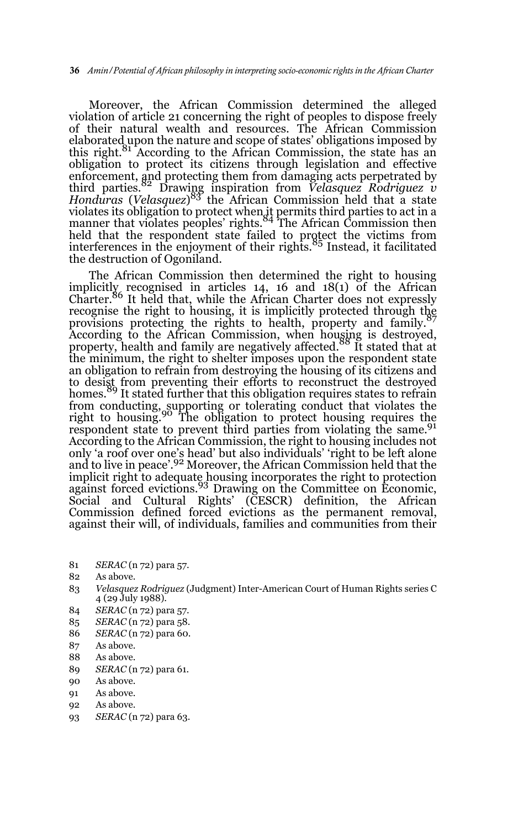Moreover, the African Commission determined the alleged violation of article 21 concerning the right of peoples to dispose freely of their natural wealth and resources. The African Commission elaborated upon the nature and scope of states' obligations imposed by this right.<sup>81</sup> According to the African Commission, the state has an obligation to protect its citizens through legislation and effective enforcement, and protecting them from damaging acts perpetrated by<br>third parties.<sup>82</sup> Drawing inspiration from *Velasquez Rodriguez v Honduras* (*Velasquez*) <sup>83</sup> the African Commission held that a state violates its obligation to protect when it permits third parties to act in a<br>manner that violates peoples' rights.<sup>84</sup> The African Commission then held that the respondent state failed to protect the victims from<br>interferences in the enjoyment of their rights.<sup>85</sup> Instead, it facilitated the destruction of Ogoniland.

The African Commission then determined the right to housing implicitly recognised in articles 14, 16 and 18(1) of the African Charter.86 It held that, while the African Charter does not expressly recognise the right to housing, it is implicitly protected through the provisions protecting the rights to health, property and family.<sup>8</sup> According to the African Commission, when housing is destroyed,<br>property, health and family are negatively affected.<sup>88</sup> It stated that at the minimum, the right to shelter imposes upon the respondent state an obligation to refrain from destroying the housing of its citizens and to desist from preventing their efforts to reconstruct the destroyed homes.<sup>89</sup> It stated further that this obligation requires states to refrain from conducting, supporting or tolerating conduct that violates the<br>right to housing.<sup>90</sup> The obligation to protect housing requires the respondent state to prevent third parties from violating the same.<sup>91</sup> According to the African Commission, the right to housing includes not only 'a roof over one's head' but also individuals' 'right to be left alone and to live in peace'.<sup>92</sup> Moreover, the African Commission held that the implicit right to adequate housing incorporates the right to protection against forced evictions.<sup>93</sup> Drawing on the Committee on Economic, Social and Cultural Rights' (CESCR) definition, the African Commission defined forced evictions as the permanent removal, against their will, of individuals, families and communities from their

- 81 *SERAC* (n 72) para 57.
- 82 As above.
- 83 *Velasquez Rodriguez* (Judgment) Inter-American Court of Human Rights series C 4 (29 July 1988).
- 84 *SERAC* (n 72) para 57.
- 85 *SERAC* (n 72) para 58.
- 86 *SERAC* (n 72) para 60.
- 87 As above.
- 88 As above.
- 89 *SERAC* (n 72) para 61.
- 90 As above.
- 91 As above.
- 02 As above.
- 93 *SERAC* (n 72) para 63.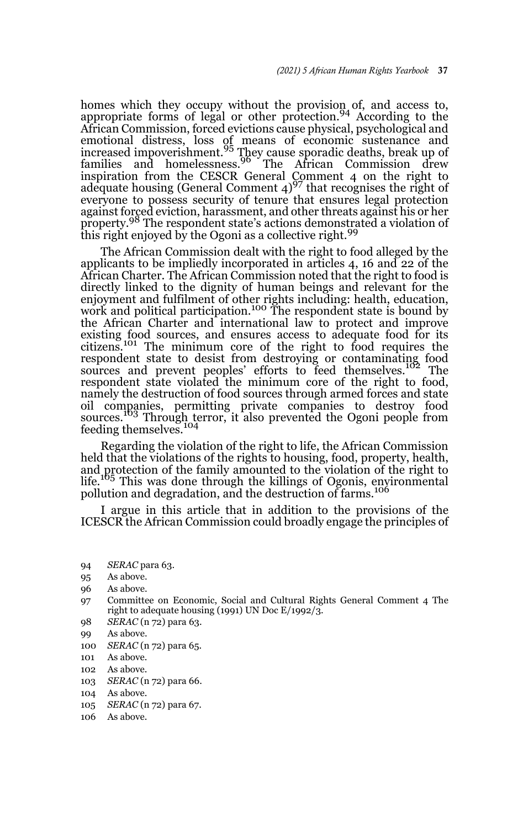homes which they occupy without the provision of, and access to, appropriate forms of legal or other protection.<sup>94</sup> According to the African Commission, forced evictions cause physical, psychological and emotional distress, loss of means of economic sustenance and<br>increased impoverishment.<sup>95</sup> They cause sporadic deaths, break up of families and homelessness.<sup>96</sup> The African Commission drew inspiration from the CESCR General Comment 4 on the right to adequate housing (General Comment 4)<sup>97</sup> that recognises the right of everyone to possess security of tenure that ensures legal protection against forced eviction, harassment, and other threats against his or her property.<sup>98</sup> The respondent state's actions demonstrated a violation of this right enjoyed by the Ogoni as a collective right.<sup>99</sup>

The African Commission dealt with the right to food alleged by the applicants to be impliedly incorporated in articles 4, 16 and 22 of the African Charter. The African Commission noted that the right to food is directly linked to the dignity of human beings and relevant for the enjoyment and fulfilment of other rights including: health, education, work and political participation.<sup>100</sup> The respondent state is bound by the African Charter and international law to protect and improve existing food sources, and ensures access to adequate food for its citizens.<sup>101</sup> The minimum core of the right to food requires the respondent state to desist from destroying or contaminating food sources and prevent peoples' efforts to feed themselves.<sup>102</sup> The respondent state violated the minimum core of the right to food, namely the destruction of food sources through armed forces and state oil companies, permitting private companies to destroy food sources.<sup>103</sup> Through terror, it also prevented the Ogoni people from feeding themselves.<sup>104</sup>

Regarding the violation of the right to life, the African Commission held that the violations of the rights to housing, food, property, health, and protection of the family amounted to the violation of the right to life.<sup>105</sup> This was done through the killings of Ogonis, environmental pollution and degradation, and the destruction of farms.<sup>106</sup>

I argue in this article that in addition to the provisions of the ICESCR the African Commission could broadly engage the principles of

- 96 As above.
- 97 Committee on Economic, Social and Cultural Rights General Comment 4 The right to adequate housing  $(1991)$  UN Doc E/1992/3.
- 98 *SERAC* (n 72) para 63.
- 99 As above.
- 100 *SERAC* (n 72) para 65.
- 101 As above.
- 102 As above.
- 103 *SERAC* (n 72) para 66.
- 104 As above.
- 105 *SERAC* (n 72) para 67.
- 106 As above.

<sup>94</sup> *SERAC* para 63.

<sup>95</sup> As above.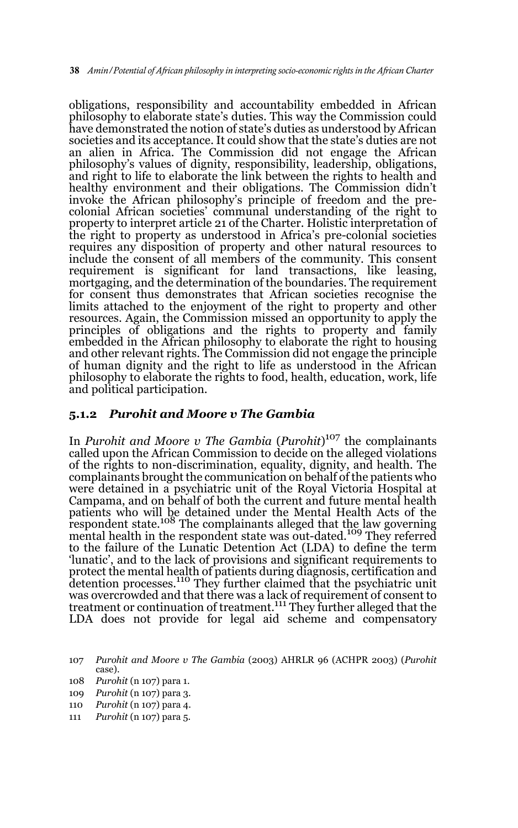obligations, responsibility and accountability embedded in African philosophy to elaborate state's duties. This way the Commission could have demonstrated the notion of state's duties as understood by African societies and its acceptance. It could show that the state's duties are not an alien in Africa. The Commission did not engage the African philosophy's values of dignity, responsibility, leadership, obligations, and right to life to elaborate the link between the rights to health and healthy environment and their obligations. The Commission didn't invoke the African philosophy's principle of freedom and the precolonial African societies' communal understanding of the right to property to interpret article 21 of the Charter. Holistic interpretation of the right to property as understood in Africa's pre-colonial societies requires any disposition of property and other natural resources to include the consent of all members of the community. This consent requirement is significant for land transactions, like leasing, mortgaging, and the determination of the boundaries. The requirement for consent thus demonstrates that African societies recognise the limits attached to the enjoyment of the right to property and other resources. Again, the Commission missed an opportunity to apply the principles of obligations and the rights to property and family embedded in the African philosophy to elaborate the right to housing and other relevant rights. The Commission did not engage the principle of human dignity and the right to life as understood in the African philosophy to elaborate the rights to food, health, education, work, life and political participation.

#### **5.1.2** *Purohit and Moore v The Gambia*

In *Purohit and Moore v The Gambia* (*Purohit*) <sup>107</sup> the complainants called upon the African Commission to decide on the alleged violations of the rights to non-discrimination, equality, dignity, and health. The complainants brought the communication on behalf of the patients who were detained in a psychiatric unit of the Royal Victoria Hospital at Campama, and on behalf of both the current and future mental health patients who will be detained under the Mental Health Acts of the<br>respondent state.<sup>108</sup> The complainants alleged that t<u>he</u> law governing mental health in the respondent state was out-dated.<sup>109</sup> They referred to the failure of the Lunatic Detention Act (LDA) to define the term 'lunatic', and to the lack of provisions and significant requirements to protect the mental health of patients during diagnosis, certification and<br>detention processes.'<sup>110</sup> They further claimed that the psychiatric unit was overcrowded and that there was a lack of requirement of consent to treatment or continuation of treatment.111 They further alleged that the LDA does not provide for legal aid scheme and compensatory

111 *Purohit* (n 107) para 5.

<sup>107</sup> *Purohit and Moore v The Gambia* (2003) AHRLR 96 (ACHPR 2003) (*Purohit* case).

<sup>108</sup> *Purohit* (n 107) para 1.

<sup>109</sup> *Purohit* (n 107) para 3.

<sup>110</sup> *Purohit* (n 107) para 4.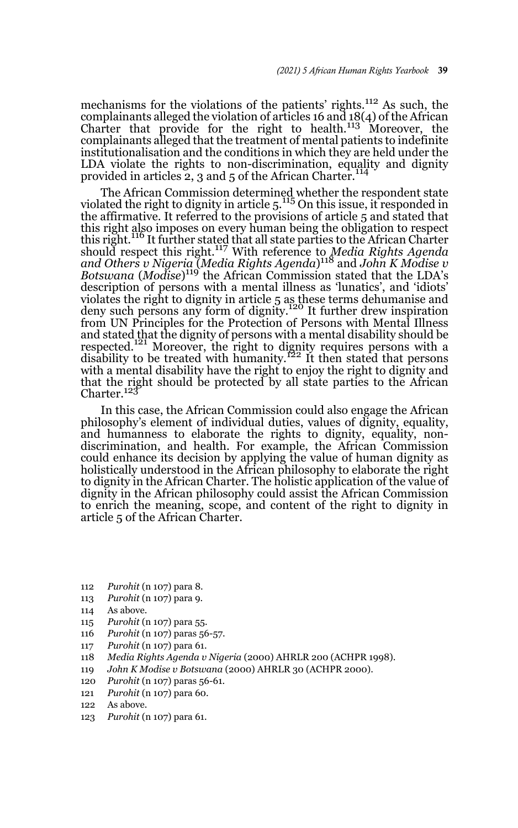mechanisms for the violations of the patients' rights.112 As such, the complainants alleged the violation of articles 16 and 18(4) of the African<br>Charter that provide for the right to health.<sup>113</sup> Moreover, the complainants alleged that the treatment of mental patients to indefinite institutionalisation and the conditions in which they are held under the LDA violate the rights to non-discrimination, equality and dignity provided in articles 2, 3 and 5 of the African Charter.<sup>114</sup>

The African Commission determined whether the respondent state violated the right to dignity in article 5.<sup>115</sup> On this issue, it responded in the affirmative. It referred to the provisions of article 5 and stated that this right also imposes on every human being the obligation to respect this right.<sup>116</sup> It further stated that all state parties to the African Charter should respect this right.<sup>117</sup> With reference to *Media Rights Agenda and Others v Nigeria* (*Media Rights Agenda*) <sup>118</sup> and *John K Modise v Botswana* (*Modise*) <sup>119</sup> the African Commission stated that the LDA's description of persons with a mental illness as 'lunatics', and 'idiots' violates the right to dignity in article 5 as these terms dehumanise and deny such persons any form of dignity.<sup>120</sup> It further drew inspiration from UN Principles for the Protection of Persons with Mental Illness and stated that the dignity of persons with a mental disability should be respected.<sup>121</sup> Moreover, the right to dignity requires persons with a respected.<sup>121</sup> Moreover, the right to dignity requires persons with a disability to be treated with humanity.<sup>122</sup> It then stated that persons with a mental disability have the right to enjoy the right to dignity and that the right should be protected by all state parties to the African Charter.<sup>123</sup>

In this case, the African Commission could also engage the African philosophy's element of individual duties, values of dignity, equality, and humanness to elaborate the rights to dignity, equality, nondiscrimination, and health. For example, the African Commission could enhance its decision by applying the value of human dignity as holistically understood in the African philosophy to elaborate the right to dignity in the African Charter. The holistic application of the value of dignity in the African philosophy could assist the African Commission to enrich the meaning, scope, and content of the right to dignity in article 5 of the African Charter.

- 112 *Purohit* (n 107) para 8.
- 113 *Purohit* (n 107) para 9.
- 114 As above.
- 115 *Purohit* (n 107) para 55.
- 116 *Purohit* (n 107) paras 56-57.
- 117 *Purohit* (n 107) para 61.
- 118 *Media Rights Agenda v Nigeria* (2000) AHRLR 200 (ACHPR 1998).
- 119 *John K Modise v Botswana* (2000) AHRLR 30 (ACHPR 2000).
- 120 *Purohit* (n 107) paras 56-61.
- 121 *Purohit* (n 107) para 60.
- 122 As above.
- 123 *Purohit* (n 107) para 61.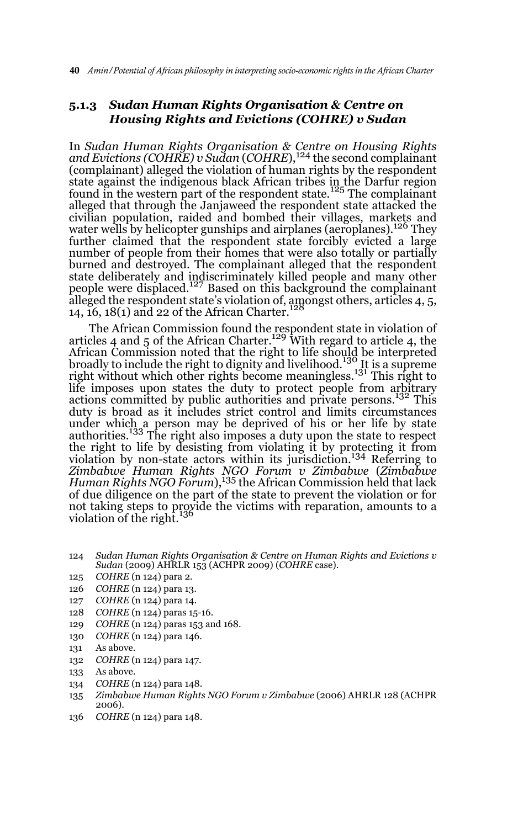#### **5.1.3** *Sudan Human Rights Organisation & Centre on Housing Rights and Evictions (COHRE) v Sudan*

In *Sudan Human Rights Organisation & Centre on Housing Rights and Evictions (COHRE) v Sudan* (*COHRE*),124 the second complainant (complainant) alleged the violation of human rights by the respondent state against the indigenous black African tribes in the Darfur region found in the western part of the respondent state.<sup>125</sup> The complainant alleged that through the Janjaweed the respondent state attacked the civilian population, raided and bombed their villages, markets and water wells by helicopter gunships and airplanes (aeroplanes).<sup>126</sup> They further claimed that the respondent state forcibly evicted a large number of people from their homes that were also totally or partially burned and destroyed. The complainant alleged that the respondent state deliberately and indiscriminately killed people and many other<br>people were displaced.<sup>127</sup> Based on this background the complainant alleged the respondent state's violation of, amongst others, articles 4, 5, 14,  $16$ ,  $18(1)$  and 22 of the African Charter.

The African Commission found the respondent state in violation of articles 4 and 5 of the African Charter.<sup>129</sup> With regard to article 4, the African Commission noted that the right to life should be interpreted<br>broadly to include the right to dignity and livelihood.<sup>130</sup> It is a supreme right without which other rights become meaningless.131 This right to life imposes upon states the duty to protect people from arbitrary actions committed by public authorities and private persons.<sup>132</sup> This duty is broad as it includes strict control and limits circumstances under which a person may be deprived of his or her life by state authorities.133 The right also imposes a duty upon the state to respect the right to life by desisting from violating it by protecting it from violation by non-state actors within its jurisdiction.134 Referring to *Zimbabwe Human Rights NGO Forum v Zimbabwe* (*Zimbabwe Human Rights NGO Forum*),135 the African Commission held that lack of due diligence on the part of the state to prevent the violation or for not taking steps to provide the victims with reparation, amounts to a violation of the right.<sup>136</sup>

- 124 *Sudan Human Rights Organisation & Centre on Human Rights and Evictions v Sudan* (2009) AHRLR 153 (ACHPR 2009) (*COHRE* case).
- 125 *COHRE* (n 124) para 2.
- 126 *COHRE* (n 124) para 13.
- 127 *COHRE* (n 124) para 14.
- 128 *COHRE* (n 124) paras 15-16.
- 129 *COHRE* (n 124) paras 153 and 168.
- 130 *COHRE* (n 124) para 146.
- 131 As above.
- 132 *COHRE* (n 124) para 147.
- 133 As above.
- 134 *COHRE* (n 124) para 148.
- 135 *Zimbabwe Human Rights NGO Forum v Zimbabwe* (2006) AHRLR 128 (ACHPR 2006).
- 136 *COHRE* (n 124) para 148.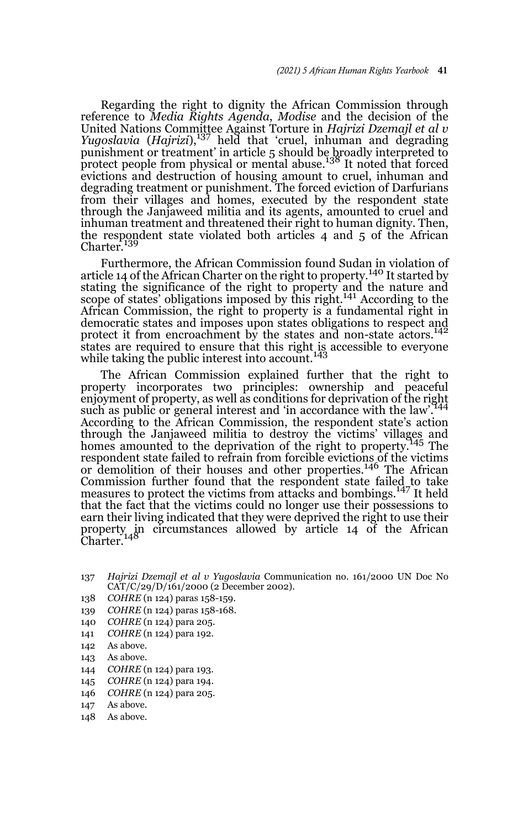Regarding the right to dignity the African Commission through reference to *Media Rights Agenda*, *Modise* and the decision of the United Nations Committee Against Torture in *Hajrizi Dzemajl et al v Yugoslavia* (*Hajrizi*),137 held that 'cruel, inhuman and degrading punishment or treatment' in article 5 should be broadly interpreted to protect people from physical or mental abuse.<sup>138</sup> It noted that forced evictions and destruction of housing amount to cruel, inhuman and degrading treatment or punishment. The forced eviction of Darfurians from their villages and homes, executed by the respondent state through the Janjaweed militia and its agents, amounted to cruel and inhuman treatment and threatened their right to human dignity. Then, the respondent state violated both articles 4 and 5 of the African Charter.<sup>139</sup>

Furthermore, the African Commission found Sudan in violation of article 14 of the African Charter on the right to property.<sup>140</sup> It started by stating the significance of the right to property and the nature and scope of states' obligations imposed by this right.<sup>141</sup> According to the African Commission, the right to property is a fundamental right in democratic states and imposes upon states obligations to respect and protect it from encroachment by the states and non-state actors.<sup>142</sup> states are required to ensure that this right is accessible to everyone<br>while taking the public interest into account.<sup>143</sup>

The African Commission explained further that the right to property incorporates two principles: ownership and peaceful enjoyment of property, as well as conditions for deprivation of the right such as public or general interest and 'in accordance with the law'.<sup>1</sup> According to the African Commission, the respondent state's action through the Janjaweed militia to destroy the victims' villages and homes amounted to the deprivation of the right to property.<sup>145</sup> The respondent state failed to refrain from forcible evictions of the victims or demolition of their houses and other properties.<sup>146</sup> The African Commission further found that the respondent state failed to take measures to protect the victims from attacks and bombings.<sup>147</sup> It held that the fact that the victims could no longer use their possessions to earn their living indicated that they were deprived the right to use their property in circumstances allowed by article 14 of the African<br>Charter.<sup>148</sup>

- 138 *COHRE* (n 124) paras 158-159.
- 139 *COHRE* (n 124) paras 158-168.
- 140 *COHRE* (n 124) para 205.
- 141 *COHRE* (n 124) para 192.
- 142 As above.
- 143 As above.
- 144 *COHRE* (n 124) para 193.
- 145 *COHRE* (n 124) para 194.
- 146 *COHRE* (n 124) para 205.
- 147 As above.
- 148 As above.

<sup>137</sup> *Hajrizi Dzemajl et al v Yugoslavia* Communication no. 161/2000 UN Doc No CAT/C/29/D/161/2000 (2 December 2002).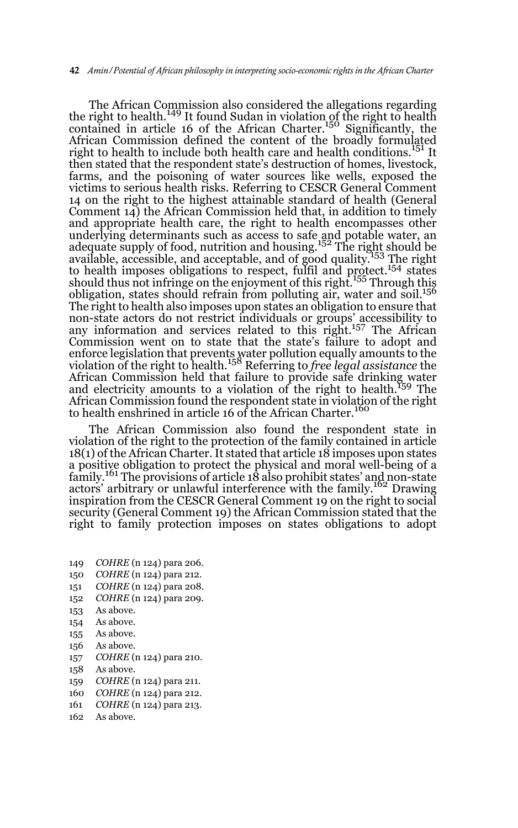The African Commission also considered the allegations regarding the right to health.<sup>149</sup> It found Sudan in violation of the right to health contained in article 16 of the African Charter.<sup>150</sup> Significantly, the African Commission defined the content of the broadly formulated right to health to include both health care and health conditions.<sup>151</sup> It then stated that the respondent state's destruction of homes, livestock, farms, and the poisoning of water sources like wells, exposed the victims to serious health risks. Referring to CESCR General Comment 14 on the right to the highest attainable standard of health (General Comment 14) the African Commission held that, in addition to timely and appropriate health care, the right to health encompasses other underlying determinants such as access to safe and potable water, an<br>adequate supply of food, nutrition and housing.<sup>152</sup> The rig<u>ht</u> should be auceptatic suppry of rood, matriced and modeling. The right area areal and  $\frac{153}{153}$  The right to health imposes obligations to respect, fulfil and protect.<sup>154</sup> states should thus not infringe on the enjoyment of this right.<sup>155</sup> Through this obligation, states should refrain from polluting air, water and soil.<sup>156</sup> The right to health also imposes upon states an obligation to ensure that non-state actors do not restrict individuals or groups' accessibility to any information and services related to this right.<sup>157</sup> The African Commission went on to state that the state's failure to adopt and enforce legislation that prevents water pollution equally amounts to the violation of the right to health.<sup>158</sup> Referring to *free legal assistance* the African Commission held that failure to provide safe drinking water and electricity amounts to a violation of the right to health.159 The African Commission found the respondent state in violation of the right<br>to health enshrined in article 16 of the African Charter.<sup>160</sup>

The African Commission also found the respondent state in violation of the right to the protection of the family contained in article 18(1) of the African Charter. It stated that article 18 imposes upon states a positive obligation to protect the physical and moral well-being of a family.<sup>161</sup> The provisions of article 18 also prohibit states' and non-state actors' arbitrary or unlawful interference with the family.162 Drawing inspiration from the CESCR General Comment 19 on the right to social security (General Comment 19) the African Commission stated that the right to family protection imposes on states obligations to adopt

- 149 *COHRE* (n 124) para 206.
- 150 *COHRE* (n 124) para 212.
- 151 *COHRE* (n 124) para 208.
- 152 *COHRE* (n 124) para 209.
- 153 As above.
- 154 As above.
- 155 As above.
- 156 As above.
- 157 *COHRE* (n 124) para 210.
- 158 As above.
- 159 *COHRE* (n 124) para 211.
- 160 *COHRE* (n 124) para 212.
- 161 *COHRE* (n 124) para 213.
- 162 As above.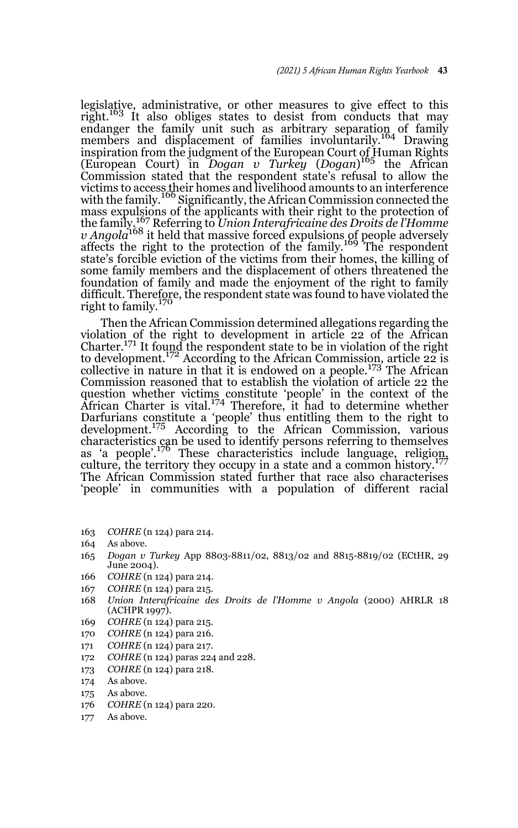legislative, administrative, or other measures to give effect to this right.<sup>163</sup> It also obliges states to desist from conducts that may endanger the family unit such as arbitrary separation of family<br>members and displacement of families involuntarily.<sup>164</sup> Drawing inspiration from the judgment of the European Court of Human Rights (European Court) in *Dogan v Turkey* (*Dogan*) <sup>165</sup> the African Commission stated that the respondent state's refusal to allow the victims to access their homes and livelihood amounts to an interference<br>with the family.<sup>166</sup> Significantly, the African Commission connected the mass expulsions of the applicants with their right to the protection of the family.<sup>167</sup> Referring to *Union Interafricaine des Droits de l'Homme v Angola*<sup>168</sup> it held that massive forced expulsions of people adversely affects the right to the protection of the family.<sup>169</sup> The respondent state's forcible eviction of the victims from their homes, the killing of some family members and the displacement of others threatened the foundation of family and made the enjoyment of the right to family difficult. Therefore, the respondent state was found to have violated the right to family.<sup>170</sup>

Then the African Commission determined allegations regarding the violation of the right to development in article 22 of the African Charter.<sup>171</sup> It found the respondent state to be in violation of the right to development.<sup>172</sup> According to the African Commission, article 22 is collective in nature in that it is endowed on a people.<sup>173</sup> The African Commission reasoned that to establish the violation of article 22 the question whether victims constitute 'people' in the context of the<br>African Charter is vital.<sup>174</sup> Therefore, it had to determine whether Darfurians constitute a 'people' thus entitling them to the right to development.<sup>175</sup> According to the African Commission, various characteristics can be used to identify persons referring to themselves<br>as 'a people'.<sup>176</sup> These characteristics include language, religio<u>n</u>, culture, the territory they occupy in a state and a common history.<sup>177</sup> The African Commission stated further that race also characterises 'people' in communities with a population of different racial

- 163 *COHRE* (n 124) para 214.
- 164 As above.
- 165 *Dogan v Turkey* App 8803-8811/02, 8813/02 and 8815-8819/02 (ECtHR, 29 June 2004).
- 166 *COHRE* (n 124) para 214.
- 167 *COHRE* (n 124) para 215.
- 168 *Union Interafricaine des Droits de l'Homme v Angola* (2000) AHRLR 18 (ACHPR 1997).
- 169 *COHRE* (n 124) para 215.
- 170 *COHRE* (n 124) para 216.
- 171 *COHRE* (n 124) para 217.
- 172 *COHRE* (n 124) paras 224 and 228.
- 173 *COHRE* (n 124) para 218.
- 174 As above.
- 175 As above.
- 176 *COHRE* (n 124) para 220.
- 177 As above.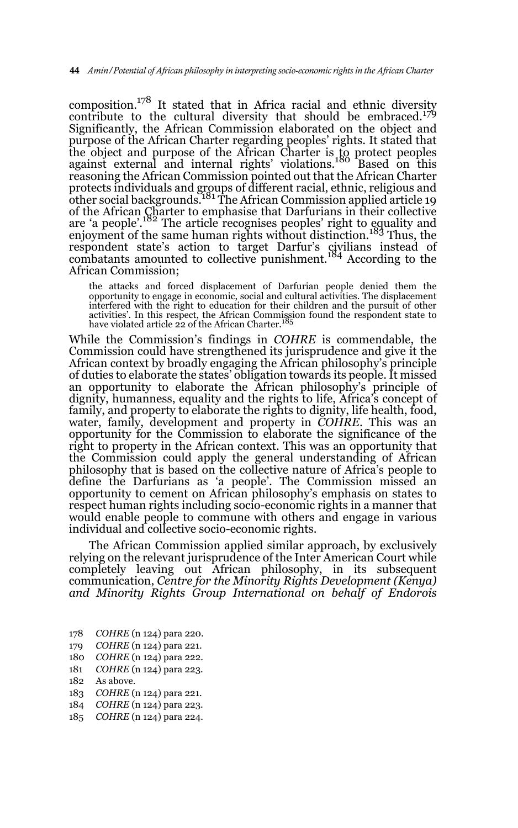composition.<sup>178</sup> It stated that in Africa racial and ethnic diversity contribute to the cultural diversity that should be embraced.<sup>179</sup> Significantly, the African Commission elaborated on the object and purpose of the African Charter regarding peoples' rights. It stated that the object and purpose of the African Charter is to protect peoples against external and internal rights' violations.180 Based on this reasoning the African Commission pointed out that the African Charter protects individuals and groups of different racial, ethnic, religious and<br>other social backgrounds.<sup>181</sup> The African Commission applied article 19 of the African Charter to emphasise that Darfurians in their collective are 'a people'.182 The article recognises peoples' right to equality and enjoyment of the same human rights without distinction.<sup>183</sup> Thus, the respondent state's action to target Darfur's civilians instead of combatants amounted to collective punishment.<sup>184</sup> According to the African Commission;

the attacks and forced displacement of Darfurian people denied them the opportunity to engage in economic, social and cultural activities. The displacement interfered with the right to education for their children and the pursuit of other activities'. In this respect, the African Commission found the respondent state to<br>have violated article 22 of the African Charter.<sup>185</sup>

While the Commission's findings in *COHRE* is commendable, the Commission could have strengthened its jurisprudence and give it the African context by broadly engaging the African philosophy's principle of duties to elaborate the states' obligation towards its people. It missed an opportunity to elaborate the African philosophy's principle of dignity, humanness, equality and the rights to life, Africa's concept of family, and property to elaborate the rights to dignity, life health, food, water, family, development and property in *COHRE*. This was an opportunity for the Commission to elaborate the significance of the right to property in the African context. This was an opportunity that the Commission could apply the general understanding of African philosophy that is based on the collective nature of Africa's people to define the Darfurians as 'a people'. The Commission missed an opportunity to cement on African philosophy's emphasis on states to respect human rights including socio-economic rights in a manner that would enable people to commune with others and engage in various individual and collective socio-economic rights.

The African Commission applied similar approach, by exclusively relying on the relevant jurisprudence of the Inter American Court while completely leaving out African philosophy, in its subsequent communication, *Centre for the Minority Rights Development (Kenya) and Minority Rights Group International on behalf of Endorois*

- 178 *COHRE* (n 124) para 220.
- 179 *COHRE* (n 124) para 221.
- 180 *COHRE* (n 124) para 222.
- 181 *COHRE* (n 124) para 223.
- 182 As above.
- 183 *COHRE* (n 124) para 221.
- 184 *COHRE* (n 124) para 223.
- 185 *COHRE* (n 124) para 224.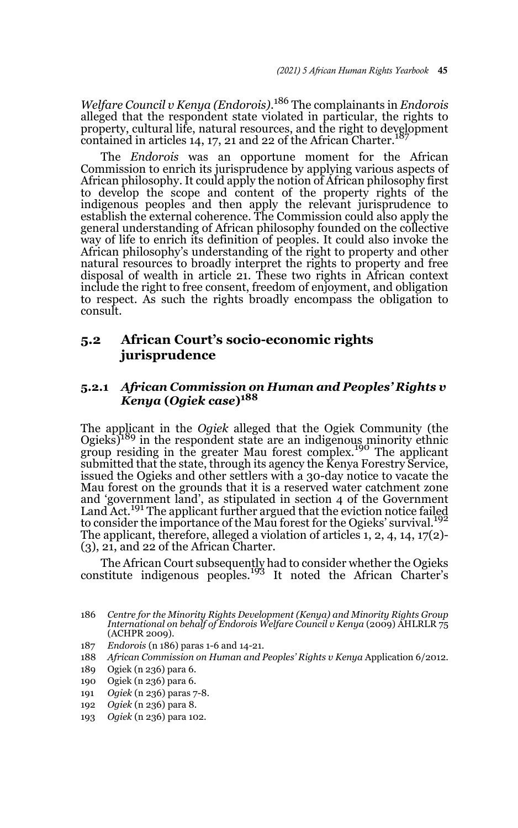*Welfare Council v Kenya (Endorois)*. <sup>186</sup> The complainants in *Endorois* alleged that the respondent state violated in particular, the rights to property, cultural life, natural resources, and the right to development contained in articles 14, 17, 21 and 22 of the African Charter.

The *Endorois* was an opportune moment for the African Commission to enrich its jurisprudence by applying various aspects of African philosophy. It could apply the notion of African philosophy first to develop the scope and content of the property rights of the indigenous peoples and then apply the relevant jurisprudence to establish the external coherence. The Commission could also apply the general understanding of African philosophy founded on the collective way of life to enrich its definition of peoples. It could also invoke the African philosophy's understanding of the right to property and other natural resources to broadly interpret the rights to property and free disposal of wealth in article 21. These two rights in African context include the right to free consent, freedom of enjoyment, and obligation to respect. As such the rights broadly encompass the obligation to consult.

### **5.2 African Court's socio-economic rights jurisprudence**

#### **5.2.1** *African Commission on Human and Peoples' Rights v Kenya* **(***Ogiek case***)188**

The applicant in the *Ogiek* alleged that the Ogiek Community (the  $Ogieks$ <sup>189</sup> in the respondent state are an indigenous minority ethnic group residing in the greater Mau forest complex.<sup>190</sup> The applicant submitted that the state, through its agency the Kenya Forestry Service, issued the Ogieks and other settlers with a 30-day notice to vacate the Mau forest on the grounds that it is a reserved water catchment zone and 'government land', as stipulated in section 4 of the Government Land Act.<sup>191</sup> The applicant further argued that the eviction notice failed to consider the importance of the Mau forest for the Ogieks' survival.<sup>192</sup> The applicant, therefore, alleged a violation of articles 1, 2, 4, 14, 17(2)- (3), 21, and 22 of the African Charter.

The African Court subsequently had to consider whether the Ogieks constitute indigenous peoples.<sup>193</sup> It noted the African Charter's

- 187 *Endorois* (n 186) paras 1-6 and 14-21.
- 188 *African Commission on Human and Peoples' Rights v Kenya* Application 6/2012.
- 189 Ogiek (n 236) para 6.
- 190 Ogiek (n 236) para 6.
- 191 *Ogiek* (n 236) paras 7-8.
- 192 *Ogiek* (n 236) para 8.
- 193 *Ogiek* (n 236) para 102.

<sup>186</sup> *Centre for the Minority Rights Development (Kenya) and Minority Rights Group International on behalf of Endorois Welfare Council v Kenya* (2009) AHLRLR 75 (ACHPR 2009).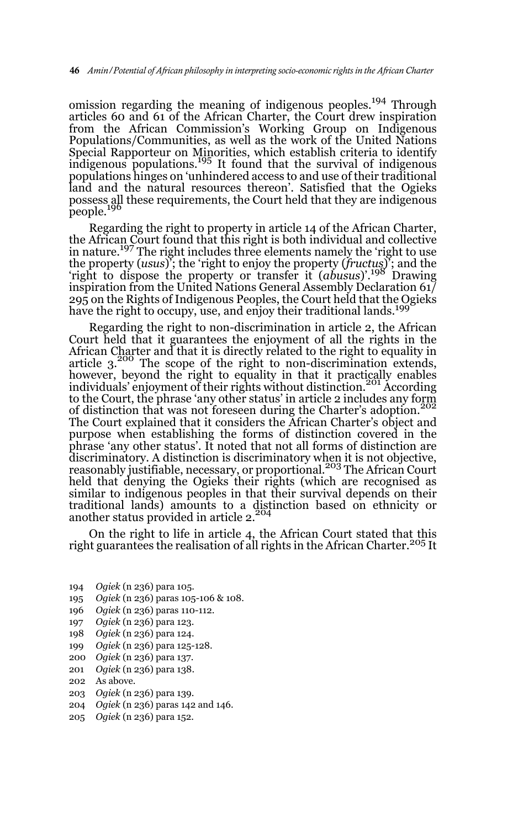omission regarding the meaning of indigenous peoples.<sup>194</sup> Through articles 60 and 61 of the African Charter, the Court drew inspiration from the African Commission's Working Group on Indigenous Populations/Communities, as well as the work of the United Nations Special Rapporteur on Minorities, which establish criteria to identify<br>indigenous populations.<sup>195</sup> It found that the survival of indigenous populations hinges on 'unhindered access to and use of their traditional land and the natural resources thereon'. Satisfied that the Ogieks possess all these requirements, the Court held that they are indigenous people.<sup>19</sup>

Regarding the right to property in article 14 of the African Charter, the African Court found that this right is both individual and collective in nature.<sup>197</sup> The right includes three elements namely the 'right to use the property (*usus*)'; the 'right to enjoy the property (*fructus*)'; and the 'right to dispose the property or transfer it (*abusus*)'.198 Drawing inspiration from the United Nations General Assembly Declaration 61/ 295 on the Rights of Indigenous Peoples, the Court held that the Ogieks have the right to occupy, use, and enjoy their traditional lands.<sup>199</sup>

Regarding the right to non-discrimination in article 2, the African Court held that it guarantees the enjoyment of all the rights in the African Charter and that it is directly related to the right to equality in article  $3^{200}$  The scope of the right to non-discrimination extends, however, beyond the right to equality in that it practically enables individuals' enjoyment of their rights without distinction.<sup>201</sup> According to the Court, the phrase 'any other status' in article 2 includes any form of distinction that was not foreseen during the Charter's adoption. The Court explained that it considers the African Charter's object and purpose when establishing the forms of distinction covered in the phrase 'any other status'. It noted that not all forms of distinction are discriminatory. A distinction is discriminatory when it is not objective,<br>reasonably justifiable, necessary, or proportional.<sup>203</sup> The African Court held that denying the Ogieks their rights (which are recognised as similar to indigenous peoples in that their survival depends on their traditional lands) amounts to a distinction based on ethnicity or<br>another status provided in article 2.<sup>204</sup>

On the right to life in article 4, the African Court stated that this right guarantees the realisation of all rights in the African Charter.<sup>205</sup> It

- 194 *Ogiek* (n 236) para 105.
- 195 *Ogiek* (n 236) paras 105-106 & 108.
- 196 *Ogiek* (n 236) paras 110-112.
- 197 *Ogiek* (n 236) para 123.
- 198 *Ogiek* (n 236) para 124.
- 199 *Ogiek* (n 236) para 125-128.
- 200 *Ogiek* (n 236) para 137.
- 201 *Ogiek* (n 236) para 138.
- 202 As above.
- 203 *Ogiek* (n 236) para 139.
- 204 *Ogiek* (n 236) paras 142 and 146.
- 205 *Ogiek* (n 236) para 152.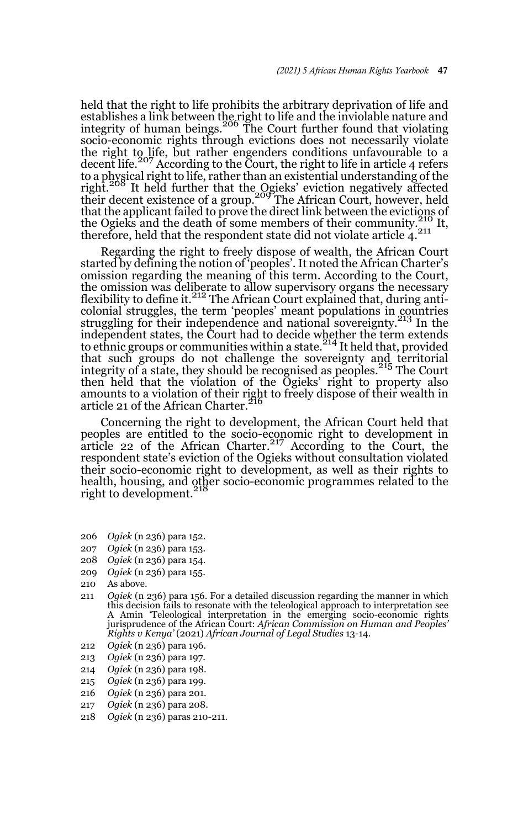held that the right to life prohibits the arbitrary deprivation of life and establishes a link between the right to life and the inviolable nature and<br>integrity of human beings.<sup>206</sup> The Court further found that violating socio-economic rights through evictions does not necessarily violate the right to life, but rather engenders conditions unfavourable to a decent life.<sup>207</sup> According to the Court, the right to life in article 4 refers to a physical right to life, rather than an existential understanding of the<br>right.<sup>208</sup> It held further that the <u>Og</u>ieks' eviction negatively affected their decent existence of a group.<sup>209</sup> The African Court, however, held that the applicant failed to prove the direct link between the evictions of the Ogieks and the death of some members of their community.<sup>210</sup> It, therefore, held that the respondent state did not violate article 4.<sup>211</sup>

Regarding the right to freely dispose of wealth, the African Court started by defining the notion of 'peoples'. It noted the African Charter's omission regarding the meaning of this term. According to the Court, the omission was deliberate to allow supervisory organs the necessary<br>flexibility to define it.<sup>212</sup> The African Court explained that, during anticolonial struggles, the term 'peoples' meant populations in countries struggling for their independence and national sovereignty.<sup>213</sup> In the independent states, the Court had to decide whether the term extends to ethnic groups or communities within a state.<sup>214</sup> It held that, provided that such groups do not challenge the sovereignty and territorial integrity of a state, they should be recognised as peoples.<sup>215</sup> The Court then held that the violation of the Ogieks' right to property also amounts to a violation of their right to freely dispose of their wealth in article 21 of the African Charter.

Concerning the right to development, the African Court held that peoples are entitled to the socio-economic right to development in article 22 of the African Charter.<sup>217</sup> According to the Court, the respondent state's eviction of the Ogieks without consultation violated their socio-economic right to development, as well as their rights to health, housing, and other socio-economic programmes related to the right to development.

- 206 *Ogiek* (n 236) para 152.
- 207 *Ogiek* (n 236) para 153.
- 208 *Ogiek* (n 236) para 154.
- 209 *Ogiek* (n 236) para 155.
- 210 As above.
- 211 *Ogiek* (n 236) para 156. For a detailed discussion regarding the manner in which this decision fails to resonate with the teleological approach to interpretation see A Amin 'Teleological interpretation in the emerging socio-economic rights jurisprudence of the African Court: *African Commission on Human and Peoples' Rights v Kenya'* (2021) *African Journal of Legal Studies* 13-14.
- 212 *Ogiek* (n 236) para 196.
- 213 *Ogiek* (n 236) para 197.
- 214 *Ogiek* (n 236) para 198.
- 215 *Ogiek* (n 236) para 199.
- 216 *Ogiek* (n 236) para 201.
- 217 *Ogiek* (n 236) para 208.
- 218 *Ogiek* (n 236) paras 210-211.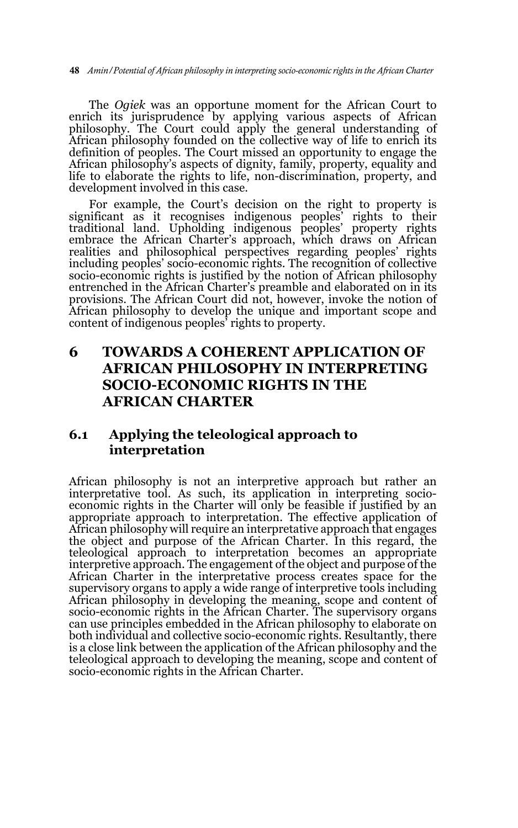The *Ogiek* was an opportune moment for the African Court to enrich its jurisprudence by applying various aspects of African philosophy. The Court could apply the general understanding of African philosophy founded on the collective way of life to enrich its definition of peoples. The Court missed an opportunity to engage the African philosophy's aspects of dignity, family, property, equality and life to elaborate the rights to life, non-discrimination, property, and development involved in this case.

For example, the Court's decision on the right to property is significant as it recognises indigenous peoples' rights to their traditional land. Upholding indigenous peoples' property rights embrace the African Charter's approach, which draws on African realities and philosophical perspectives regarding peoples' rights including peoples' socio-economic rights. The recognition of collective socio-economic rights is justified by the notion of African philosophy entrenched in the African Charter's preamble and elaborated on in its provisions. The African Court did not, however, invoke the notion of African philosophy to develop the unique and important scope and content of indigenous peoples' rights to property.

### **6 TOWARDS A COHERENT APPLICATION OF AFRICAN PHILOSOPHY IN INTERPRETING SOCIO-ECONOMIC RIGHTS IN THE AFRICAN CHARTER**

### **6.1 Applying the teleological approach to interpretation**

African philosophy is not an interpretive approach but rather an interpretative tool. As such, its application in interpreting socioeconomic rights in the Charter will only be feasible if justified by an appropriate approach to interpretation. The effective application of African philosophy will require an interpretative approach that engages the object and purpose of the African Charter. In this regard, the teleological approach to interpretation becomes an appropriate interpretive approach. The engagement of the object and purpose of the African Charter in the interpretative process creates space for the supervisory organs to apply a wide range of interpretive tools including African philosophy in developing the meaning, scope and content of socio-economic rights in the African Charter. The supervisory organs can use principles embedded in the African philosophy to elaborate on both individual and collective socio-economic rights. Resultantly, there is a close link between the application of the African philosophy and the teleological approach to developing the meaning, scope and content of socio-economic rights in the African Charter.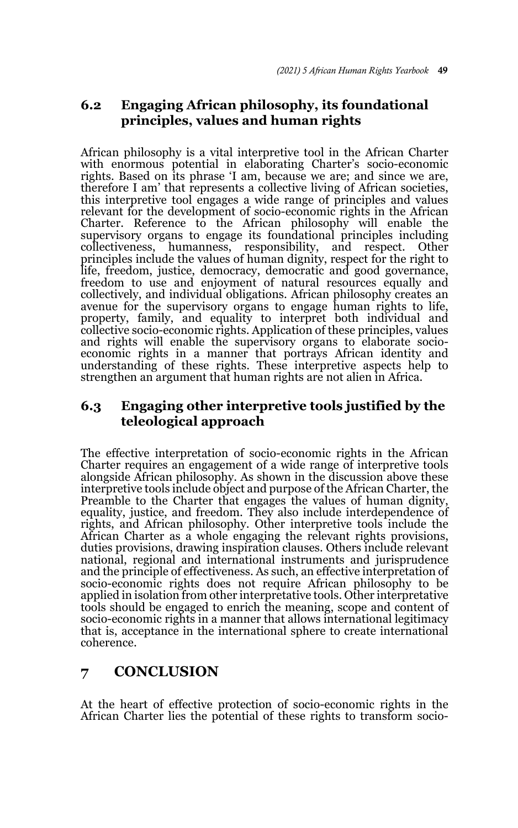### **6.2 Engaging African philosophy, its foundational principles, values and human rights**

African philosophy is a vital interpretive tool in the African Charter with enormous potential in elaborating Charter's socio-economic rights. Based on its phrase 'I am, because we are; and since we are, therefore I am' that represents a collective living of African societies, this interpretive tool engages a wide range of principles and values relevant for the development of socio-economic rights in the African Charter. Reference to the African philosophy will enable the supervisory organs to engage its foundational principles including collectiveness, humanness, responsibility, and respect. Other principles include the values of human dignity, respect for the right to life, freedom, justice, democracy, democratic and good governance, freedom to use and enjoyment of natural resources equally and collectively, and individual obligations. African philosophy creates an avenue for the supervisory organs to engage human rights to life, property, family, and equality to interpret both individual and collective socio-economic rights. Application of these principles, values and rights will enable the supervisory organs to elaborate socioeconomic rights in a manner that portrays African identity and understanding of these rights. These interpretive aspects help to strengthen an argument that human rights are not alien in Africa.

### **6.3 Engaging other interpretive tools justified by the teleological approach**

The effective interpretation of socio-economic rights in the African Charter requires an engagement of a wide range of interpretive tools alongside African philosophy. As shown in the discussion above these interpretive tools include object and purpose of the African Charter, the Preamble to the Charter that engages the values of human dignity, equality, justice, and freedom. They also include interdependence of rights, and African philosophy. Other interpretive tools include the African Charter as a whole engaging the relevant rights provisions, duties provisions, drawing inspiration clauses. Others include relevant national, regional and international instruments and jurisprudence and the principle of effectiveness. As such, an effective interpretation of socio-economic rights does not require African philosophy to be applied in isolation from other interpretative tools. Other interpretative tools should be engaged to enrich the meaning, scope and content of socio-economic rights in a manner that allows international legitimacy that is, acceptance in the international sphere to create international coherence.

### **7 CONCLUSION**

At the heart of effective protection of socio-economic rights in the African Charter lies the potential of these rights to transform socio-